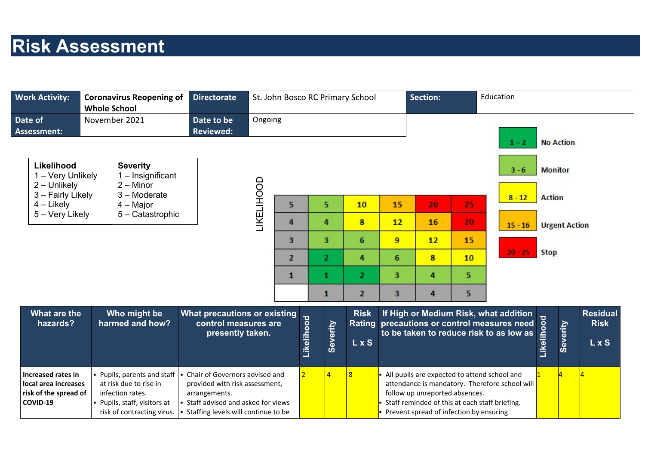## **Risk Assessment**

| <b>Work Activity:</b>                                                                  | <b>Coronavirus Reopening of</b><br><b>Whole School</b>                                                                                | <b>Directorate</b>                                                                                                                                              |            |                |              |                | St. John Bosco RC Primary School |    | <b>Section:</b>                                                                                                             |    | Education                                                                                                                       |                |                      |                                         |
|----------------------------------------------------------------------------------------|---------------------------------------------------------------------------------------------------------------------------------------|-----------------------------------------------------------------------------------------------------------------------------------------------------------------|------------|----------------|--------------|----------------|----------------------------------|----|-----------------------------------------------------------------------------------------------------------------------------|----|---------------------------------------------------------------------------------------------------------------------------------|----------------|----------------------|-----------------------------------------|
| Date of<br><b>Assessment:</b>                                                          | November 2021                                                                                                                         | Date to be<br><b>Reviewed:</b>                                                                                                                                  | Ongoing    |                |              |                |                                  |    |                                                                                                                             |    | $1 - 2$                                                                                                                         |                | <b>No Action</b>     |                                         |
| Likelihood<br>1 - Very Unlikely<br>$2 -$ Unlikely<br>3 - Fairly Likely                 | <b>Severity</b><br>$1 -$ Insignificant<br>$2 -$ Minor<br>3 - Moderate                                                                 |                                                                                                                                                                 | LIKELIHOOD |                |              |                |                                  |    |                                                                                                                             |    | $3 - 6$                                                                                                                         | <b>Monitor</b> |                      |                                         |
| $4$ – Likely                                                                           | 4 – Major                                                                                                                             |                                                                                                                                                                 |            | 5              |              | 5              | 10                               | 15 | 20                                                                                                                          | 25 | $8 - 12$                                                                                                                        | <b>Action</b>  |                      |                                         |
| 5 - Very Likely                                                                        | 5 - Catastrophic                                                                                                                      |                                                                                                                                                                 |            | 4              | 4            |                | 8                                | 12 | 16                                                                                                                          | 20 | $15 - 16$                                                                                                                       |                | <b>Urgent Action</b> |                                         |
|                                                                                        |                                                                                                                                       |                                                                                                                                                                 |            | 3              | 3            |                | 6                                | 9  | 12                                                                                                                          | 15 |                                                                                                                                 |                |                      |                                         |
|                                                                                        |                                                                                                                                       |                                                                                                                                                                 |            | $\overline{2}$ |              | $\mathbf{z}$   | 4                                | 6  | 8                                                                                                                           | 10 | $20 - 25$                                                                                                                       | <b>Stop</b>    |                      |                                         |
|                                                                                        |                                                                                                                                       |                                                                                                                                                                 |            | $\mathbf{1}$   | 1            |                | $\overline{2}$                   | 3  | 4                                                                                                                           | 5  |                                                                                                                                 |                |                      |                                         |
|                                                                                        |                                                                                                                                       |                                                                                                                                                                 |            |                | $\mathbf{1}$ |                | $\overline{2}$                   | 3  | 4                                                                                                                           | 5  |                                                                                                                                 |                |                      |                                         |
| What are the<br>hazards?                                                               | Who might be<br>harmed and how?                                                                                                       | What precautions or existing<br>control measures are<br>presently taken.                                                                                        |            |                | Likelihood   | Severity       | <b>Risk</b><br><b>LxS</b>        |    |                                                                                                                             |    | If High or Medium Risk, what addition<br>Rating precautions or control measures need<br>to be taken to reduce risk to as low as | Likelihood     | Severity             | <b>Residual</b><br><b>Risk</b><br>L x S |
| <b>Increased rates in</b><br>local area increases<br>risk of the spread of<br>COVID-19 | Pupils, parents and staff<br>at risk due to rise in<br>infection rates.<br>- Pupils, staff, visitors at<br>risk of contracting virus. | Chair of Governors advised and<br>provided with risk assessment,<br>arrangements.<br>Staff advised and asked for views<br>• Staffing levels will continue to be |            | $\overline{2}$ |              | $\overline{4}$ | 8                                |    | follow up unreported absences.<br>Staff reminded of this at each staff briefing.<br>Prevent spread of infection by ensuring |    | All pupils are expected to attend school and<br>attendance is mandatory. Therefore school will                                  |                |                      |                                         |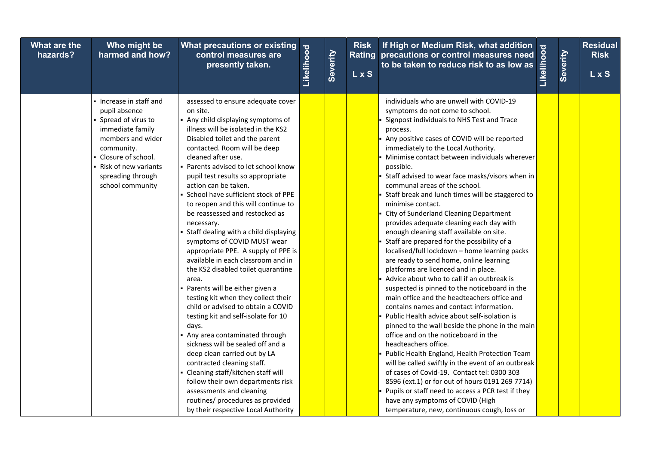| What are the<br>hazards? | Who might be<br>harmed and how?                                                                                                                                                                                  | What precautions or existing<br>control measures are<br>presently taken.                                                                                                                                                                                                                                                                                                                                                                                                                                                                                                                                                                                                                                                                                                                                                                                                                                                                                                                                                                                                                                                                                | Likelihood | Severity | <b>Risk</b><br><b>LxS</b> | If High or Medium Risk, what addition<br>precautions or control measures need<br>to be taken to reduce risk to as low as<br>$\frac{2}{\frac{36}{1-\frac{36}{1-\frac{36}{1-\frac{36}{1-\frac{36}{1-\frac{36}{1-\frac{36}{1-\frac{36}{1-\frac{36}{1-\frac{36}{1-\frac{36}{1-\frac{36}{1-\frac{36}{1-\frac{36}{1-\frac$<br>Rating precautions or control measures need                                                                                                                                                                                                                                                                                                                                                                                                                                                                                                                                                                                                                                                                                                                                                                                                                                                                                                                                                                                                                                                                                                                       | Severity | <b>Residual</b><br><b>Risk</b><br>L x S |
|--------------------------|------------------------------------------------------------------------------------------------------------------------------------------------------------------------------------------------------------------|---------------------------------------------------------------------------------------------------------------------------------------------------------------------------------------------------------------------------------------------------------------------------------------------------------------------------------------------------------------------------------------------------------------------------------------------------------------------------------------------------------------------------------------------------------------------------------------------------------------------------------------------------------------------------------------------------------------------------------------------------------------------------------------------------------------------------------------------------------------------------------------------------------------------------------------------------------------------------------------------------------------------------------------------------------------------------------------------------------------------------------------------------------|------------|----------|---------------------------|-------------------------------------------------------------------------------------------------------------------------------------------------------------------------------------------------------------------------------------------------------------------------------------------------------------------------------------------------------------------------------------------------------------------------------------------------------------------------------------------------------------------------------------------------------------------------------------------------------------------------------------------------------------------------------------------------------------------------------------------------------------------------------------------------------------------------------------------------------------------------------------------------------------------------------------------------------------------------------------------------------------------------------------------------------------------------------------------------------------------------------------------------------------------------------------------------------------------------------------------------------------------------------------------------------------------------------------------------------------------------------------------------------------------------------------------------------------------------------------------|----------|-----------------------------------------|
|                          | • Increase in staff and<br>pupil absence<br>• Spread of virus to<br>immediate family<br>members and wider<br>community.<br>Closure of school.<br>- Risk of new variants<br>spreading through<br>school community | assessed to ensure adequate cover<br>on site.<br>- Any child displaying symptoms of<br>illness will be isolated in the KS2<br>Disabled toilet and the parent<br>contacted. Room will be deep<br>cleaned after use.<br>• Parents advised to let school know<br>pupil test results so appropriate<br>action can be taken.<br>- School have sufficient stock of PPE<br>to reopen and this will continue to<br>be reassessed and restocked as<br>necessary.<br>• Staff dealing with a child displaying<br>symptoms of COVID MUST wear<br>appropriate PPE. A supply of PPE is<br>available in each classroom and in<br>the KS2 disabled toilet quarantine<br>area.<br>- Parents will be either given a<br>testing kit when they collect their<br>child or advised to obtain a COVID<br>testing kit and self-isolate for 10<br>days.<br>• Any area contaminated through<br>sickness will be sealed off and a<br>deep clean carried out by LA<br>contracted cleaning staff.<br>- Cleaning staff/kitchen staff will<br>follow their own departments risk<br>assessments and cleaning<br>routines/ procedures as provided<br>by their respective Local Authority |            |          |                           | individuals who are unwell with COVID-19<br>symptoms do not come to school.<br>Signpost individuals to NHS Test and Trace<br>process.<br>Any positive cases of COVID will be reported<br>immediately to the Local Authority.<br>Minimise contact between individuals wherever<br>possible.<br>Staff advised to wear face masks/visors when in<br>communal areas of the school.<br>Staff break and lunch times will be staggered to<br>minimise contact.<br>City of Sunderland Cleaning Department<br>provides adequate cleaning each day with<br>enough cleaning staff available on site.<br>Staff are prepared for the possibility of a<br>localised/full lockdown - home learning packs<br>are ready to send home, online learning<br>platforms are licenced and in place.<br>Advice about who to call if an outbreak is<br>suspected is pinned to the noticeboard in the<br>main office and the headteachers office and<br>contains names and contact information.<br>Public Health advice about self-isolation is<br>pinned to the wall beside the phone in the main<br>office and on the noticeboard in the<br>headteachers office.<br>Public Health England, Health Protection Team<br>will be called swiftly in the event of an outbreak<br>of cases of Covid-19. Contact tel: 0300 303<br>8596 (ext.1) or for out of hours 0191 269 7714)<br>Pupils or staff need to access a PCR test if they<br>have any symptoms of COVID (High<br>temperature, new, continuous cough, loss or |          |                                         |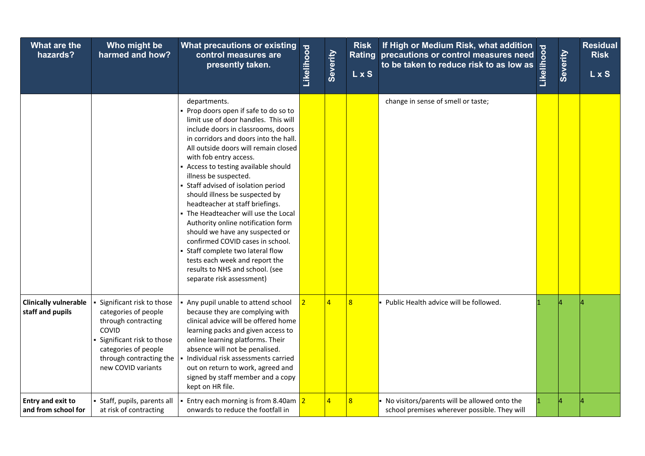| What are the<br>hazards?                         | Who might be<br>harmed and how?                                                                                                                                                           | What precautions or existing<br>control measures are<br>presently taken.                                                                                                                                                                                                                                                                                                                                                                                                                                                                                                                                                                                                                                          | Likelihood     | Severity       | <b>Risk</b><br><b>LxS</b> | If High or Medium Risk, what addition<br>Rating precautions or control measures need<br>to be taken to reduce risk to as low as | Likelihood | Severity | <b>Residual</b><br><b>Risk</b><br>L x S |
|--------------------------------------------------|-------------------------------------------------------------------------------------------------------------------------------------------------------------------------------------------|-------------------------------------------------------------------------------------------------------------------------------------------------------------------------------------------------------------------------------------------------------------------------------------------------------------------------------------------------------------------------------------------------------------------------------------------------------------------------------------------------------------------------------------------------------------------------------------------------------------------------------------------------------------------------------------------------------------------|----------------|----------------|---------------------------|---------------------------------------------------------------------------------------------------------------------------------|------------|----------|-----------------------------------------|
|                                                  |                                                                                                                                                                                           | departments.<br>• Prop doors open if safe to do so to<br>limit use of door handles. This will<br>include doors in classrooms, doors<br>in corridors and doors into the hall.<br>All outside doors will remain closed<br>with fob entry access.<br>- Access to testing available should<br>illness be suspected.<br>Staff advised of isolation period<br>should illness be suspected by<br>headteacher at staff briefings.<br>The Headteacher will use the Local<br>Authority online notification form<br>should we have any suspected or<br>confirmed COVID cases in school.<br>Staff complete two lateral flow<br>tests each week and report the<br>results to NHS and school. (see<br>separate risk assessment) |                |                |                           | change in sense of smell or taste;                                                                                              |            |          |                                         |
| <b>Clinically vulnerable</b><br>staff and pupils | Significant risk to those<br>categories of people<br>through contracting<br>COVID<br>• Significant risk to those<br>categories of people<br>through contracting the<br>new COVID variants | Any pupil unable to attend school<br>because they are complying with<br>clinical advice will be offered home<br>learning packs and given access to<br>online learning platforms. Their<br>absence will not be penalised.<br>Individual risk assessments carried<br>out on return to work, agreed and<br>signed by staff member and a copy<br>kept on HR file.                                                                                                                                                                                                                                                                                                                                                     | 2 <sup>1</sup> | $\overline{a}$ | $\overline{8}$            | Public Health advice will be followed.                                                                                          |            |          |                                         |
| <b>Entry and exit to</b><br>and from school for  | • Staff, pupils, parents all<br>at risk of contracting                                                                                                                                    | Entry each morning is from 8.40am $2$<br>onwards to reduce the footfall in                                                                                                                                                                                                                                                                                                                                                                                                                                                                                                                                                                                                                                        |                | $\overline{4}$ | $\overline{8}$            | • No visitors/parents will be allowed onto the<br>school premises wherever possible. They will                                  |            |          |                                         |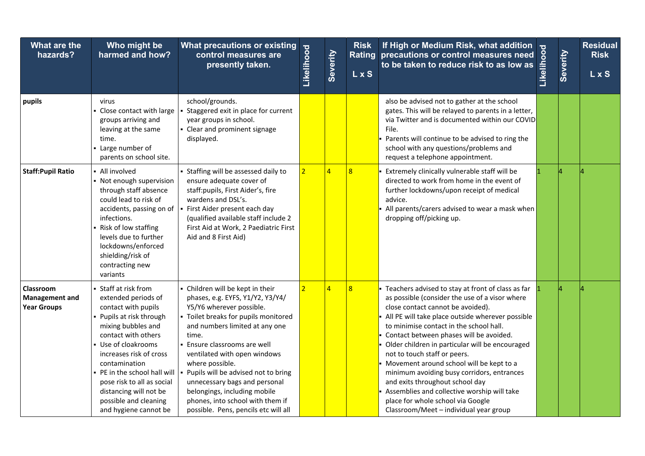| What are the<br>hazards?                                 | Who might be<br>harmed and how?                                                                                                                                                                                                                                                                                                                        | <b>What precautions or existing</b><br>control measures are<br>presently taken.                                                                                                                                                                                                                                                                                                                                                                            | Likelihood     | Severity       | <b>Risk</b><br><b>LxS</b> | If High or Medium Risk, what addition<br>precautions or control measures need $\frac{8}{9}$<br>to be taken to reduce risk to as low as $\frac{2}{9}$<br>Rating precautions or control measures need                                                                                                                                                                                                                                                                                                                                                                                                                                | Severity | <b>Residual</b><br><b>Risk</b><br><b>LxS</b> |
|----------------------------------------------------------|--------------------------------------------------------------------------------------------------------------------------------------------------------------------------------------------------------------------------------------------------------------------------------------------------------------------------------------------------------|------------------------------------------------------------------------------------------------------------------------------------------------------------------------------------------------------------------------------------------------------------------------------------------------------------------------------------------------------------------------------------------------------------------------------------------------------------|----------------|----------------|---------------------------|------------------------------------------------------------------------------------------------------------------------------------------------------------------------------------------------------------------------------------------------------------------------------------------------------------------------------------------------------------------------------------------------------------------------------------------------------------------------------------------------------------------------------------------------------------------------------------------------------------------------------------|----------|----------------------------------------------|
| pupils                                                   | virus<br>- Close contact with large<br>groups arriving and<br>leaving at the same<br>time.<br>- Large number of<br>parents on school site.                                                                                                                                                                                                             | school/grounds.<br>Staggered exit in place for current<br>year groups in school.<br>- Clear and prominent signage<br>displayed.                                                                                                                                                                                                                                                                                                                            |                |                |                           | also be advised not to gather at the school<br>gates. This will be relayed to parents in a letter,<br>via Twitter and is documented within our COVID<br>File.<br>Parents will continue to be advised to ring the<br>school with any questions/problems and<br>request a telephone appointment.                                                                                                                                                                                                                                                                                                                                     |          |                                              |
| <b>Staff:Pupil Ratio</b>                                 | • All involved<br>• Not enough supervision<br>through staff absence<br>could lead to risk of<br>accidents, passing on of<br>infections.<br>Risk of low staffing<br>levels due to further<br>lockdowns/enforced<br>shielding/risk of<br>contracting new<br>variants                                                                                     | • Staffing will be assessed daily to<br>ensure adequate cover of<br>staff: pupils, First Aider's, fire<br>wardens and DSL's.<br>First Aider present each day<br>(qualified available staff include 2<br>First Aid at Work, 2 Paediatric First<br>Aid and 8 First Aid)                                                                                                                                                                                      | $\overline{2}$ | $\overline{4}$ | $\overline{8}$            | Extremely clinically vulnerable staff will be<br>directed to work from home in the event of<br>further lockdowns/upon receipt of medical<br>advice.<br>All parents/carers advised to wear a mask when<br>dropping off/picking up.                                                                                                                                                                                                                                                                                                                                                                                                  |          |                                              |
| Classroom<br><b>Management and</b><br><b>Year Groups</b> | Staff at risk from<br>extended periods of<br>contact with pupils<br>• Pupils at risk through<br>mixing bubbles and<br>contact with others<br>- Use of cloakrooms<br>increases risk of cross<br>contamination<br>. PE in the school hall will<br>pose risk to all as social<br>distancing will not be<br>possible and cleaning<br>and hygiene cannot be | - Children will be kept in their<br>phases, e.g. EYFS, Y1/Y2, Y3/Y4/<br>Y5/Y6 wherever possible.<br>- Toilet breaks for pupils monitored<br>and numbers limited at any one<br>time.<br>- Ensure classrooms are well<br>ventilated with open windows<br>where possible.<br>Pupils will be advised not to bring<br>unnecessary bags and personal<br>belongings, including mobile<br>phones, into school with them if<br>possible. Pens, pencils etc will all | $\overline{2}$ | $\overline{4}$ | $\overline{8}$            | - Teachers advised to stay at front of class as far<br>as possible (consider the use of a visor where<br>close contact cannot be avoided).<br>All PE will take place outside wherever possible<br>to minimise contact in the school hall.<br>Contact between phases will be avoided.<br>Older children in particular will be encouraged<br>not to touch staff or peers.<br>Movement around school will be kept to a<br>minimum avoiding busy corridors, entrances<br>and exits throughout school day<br>Assemblies and collective worship will take<br>place for whole school via Google<br>Classroom/Meet - individual year group |          |                                              |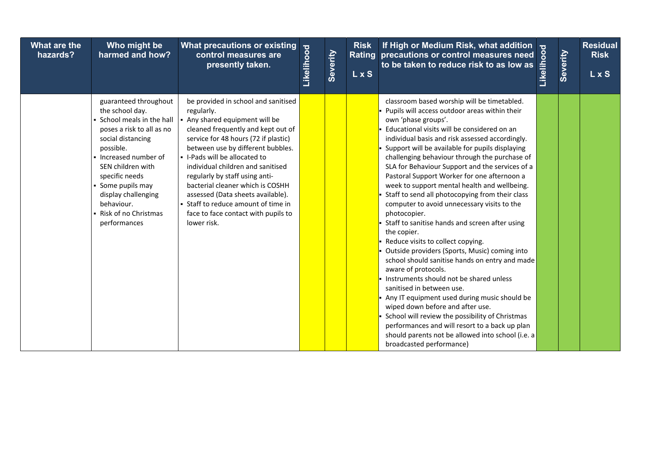| What are the<br>hazards? | Who might be<br>harmed and how?                                                                                                                                                                                                                                                                           | What precautions or existing<br>control measures are<br>presently taken.                                                                                                                                                                                                                                                                                                                                                                                                             | Likelihood | Severity | <b>Risk</b><br><b>LxS</b> | If High or Medium Risk, what addition<br>Rating precautions or control measures need<br>to be taken to reduce risk to as low as                                                                                                                                                                                                                                                                                                                                                                                                                                                                                                                                                                                                                                                                                                                                                                                                                                                                                                                                                                                                                                                 | Likelihood | Severity | <b>Residual</b><br><b>Risk</b><br><b>LxS</b> |
|--------------------------|-----------------------------------------------------------------------------------------------------------------------------------------------------------------------------------------------------------------------------------------------------------------------------------------------------------|--------------------------------------------------------------------------------------------------------------------------------------------------------------------------------------------------------------------------------------------------------------------------------------------------------------------------------------------------------------------------------------------------------------------------------------------------------------------------------------|------------|----------|---------------------------|---------------------------------------------------------------------------------------------------------------------------------------------------------------------------------------------------------------------------------------------------------------------------------------------------------------------------------------------------------------------------------------------------------------------------------------------------------------------------------------------------------------------------------------------------------------------------------------------------------------------------------------------------------------------------------------------------------------------------------------------------------------------------------------------------------------------------------------------------------------------------------------------------------------------------------------------------------------------------------------------------------------------------------------------------------------------------------------------------------------------------------------------------------------------------------|------------|----------|----------------------------------------------|
|                          | guaranteed throughout<br>the school day.<br>• School meals in the hall<br>poses a risk to all as no<br>social distancing<br>possible.<br>• Increased number of<br>SEN children with<br>specific needs<br>• Some pupils may<br>display challenging<br>behaviour.<br>• Risk of no Christmas<br>performances | be provided in school and sanitised<br>regularly.<br>- Any shared equipment will be<br>cleaned frequently and kept out of<br>service for 48 hours (72 if plastic)<br>between use by different bubbles.<br>- I-Pads will be allocated to<br>individual children and sanitised<br>regularly by staff using anti-<br>bacterial cleaner which is COSHH<br>assessed (Data sheets available).<br>• Staff to reduce amount of time in<br>face to face contact with pupils to<br>lower risk. |            |          |                           | classroom based worship will be timetabled.<br>Pupils will access outdoor areas within their<br>own 'phase groups'.<br>Educational visits will be considered on an<br>individual basis and risk assessed accordingly.<br>Support will be available for pupils displaying<br>challenging behaviour through the purchase of<br>SLA for Behaviour Support and the services of a<br>Pastoral Support Worker for one afternoon a<br>week to support mental health and wellbeing.<br>Staff to send all photocopying from their class<br>computer to avoid unnecessary visits to the<br>photocopier.<br>Staff to sanitise hands and screen after using<br>the copier.<br>Reduce visits to collect copying.<br>Outside providers (Sports, Music) coming into<br>school should sanitise hands on entry and made<br>aware of protocols.<br>Instruments should not be shared unless<br>sanitised in between use.<br>Any IT equipment used during music should be<br>wiped down before and after use.<br>School will review the possibility of Christmas<br>performances and will resort to a back up plan<br>should parents not be allowed into school (i.e. a<br>broadcasted performance) |            |          |                                              |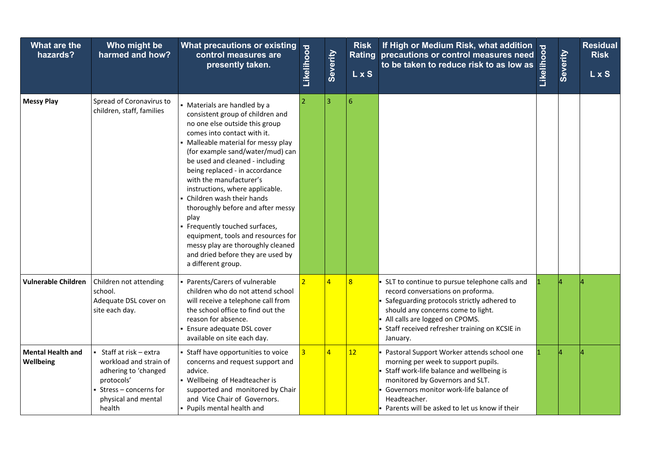| What are the<br>hazards?              | Who might be<br>harmed and how?                                                                                                                   | What precautions or existing<br>control measures are<br>presently taken.                                                                                                                                                                                                                                                                                                                                                                                                                                                                                                                            | Likelihood     | Severity       | <b>Risk</b><br><b>LxS</b> | If High or Medium Risk, what addition<br>Rating precautions or control measures need<br>to be taken to reduce risk to as low as                                                                                                                                             | Likelihood | Severity | <b>Residual</b><br><b>Risk</b><br>L x S |
|---------------------------------------|---------------------------------------------------------------------------------------------------------------------------------------------------|-----------------------------------------------------------------------------------------------------------------------------------------------------------------------------------------------------------------------------------------------------------------------------------------------------------------------------------------------------------------------------------------------------------------------------------------------------------------------------------------------------------------------------------------------------------------------------------------------------|----------------|----------------|---------------------------|-----------------------------------------------------------------------------------------------------------------------------------------------------------------------------------------------------------------------------------------------------------------------------|------------|----------|-----------------------------------------|
| <b>Messy Play</b>                     | Spread of Coronavirus to<br>children, staff, families                                                                                             | • Materials are handled by a<br>consistent group of children and<br>no one else outside this group<br>comes into contact with it.<br>• Malleable material for messy play<br>(for example sand/water/mud) can<br>be used and cleaned - including<br>being replaced - in accordance<br>with the manufacturer's<br>instructions, where applicable.<br>- Children wash their hands<br>thoroughly before and after messy<br>play<br>- Frequently touched surfaces,<br>equipment, tools and resources for<br>messy play are thoroughly cleaned<br>and dried before they are used by<br>a different group. |                | $\overline{3}$ | $\sqrt{6}$                |                                                                                                                                                                                                                                                                             |            |          |                                         |
| <b>Vulnerable Children</b>            | Children not attending<br>school.<br>Adequate DSL cover on<br>site each day.                                                                      | - Parents/Carers of vulnerable<br>children who do not attend school<br>will receive a telephone call from<br>the school office to find out the<br>reason for absence.<br>Ensure adequate DSL cover<br>available on site each day.                                                                                                                                                                                                                                                                                                                                                                   | $\overline{2}$ | 4              | $\overline{8}$            | SLT to continue to pursue telephone calls and<br>record conversations on proforma.<br>Safeguarding protocols strictly adhered to<br>should any concerns come to light.<br>All calls are logged on CPOMS.<br>Staff received refresher training on KCSIE in<br>January.       |            |          |                                         |
| <b>Mental Health and</b><br>Wellbeing | ▪ Staff at risk – extra<br>workload and strain of<br>adhering to 'changed<br>protocols'<br>Stress - concerns for<br>physical and mental<br>health | - Staff have opportunities to voice<br>concerns and request support and<br>advice.<br>• Wellbeing of Headteacher is<br>supported and monitored by Chair<br>and Vice Chair of Governors.<br>- Pupils mental health and                                                                                                                                                                                                                                                                                                                                                                               | $\overline{3}$ | $\overline{4}$ | 12                        | Pastoral Support Worker attends school one<br>morning per week to support pupils.<br>Staff work-life balance and wellbeing is<br>monitored by Governors and SLT.<br>Governors monitor work-life balance of<br>Headteacher.<br>Parents will be asked to let us know if their |            |          |                                         |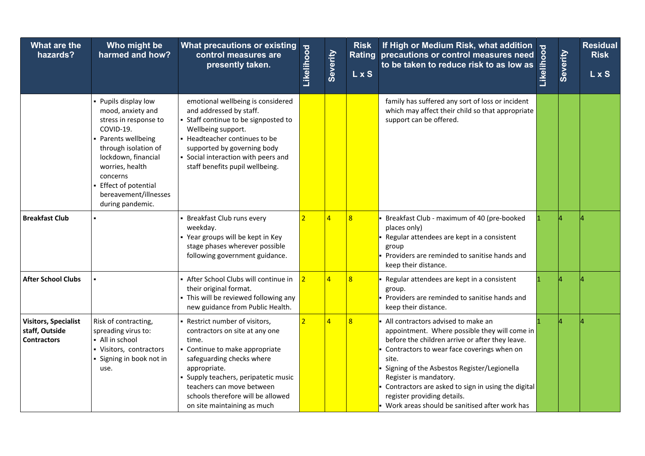| What are the<br>hazards?                                            | Who might be<br>harmed and how?                                                                                                                                                                                                                            | What precautions or existing<br>control measures are<br>presently taken.                                                                                                                                                                                                                    | Likelihood     | Severity       | <b>Risk</b><br>LxS | If High or Medium Risk, what addition<br>Rating precautions or control measures need<br>to be taken to reduce risk to as low as                                                                                                                                                                                                                                                                              | Likelihood | Severity | <b>Residual</b><br><b>Risk</b><br>L x S |
|---------------------------------------------------------------------|------------------------------------------------------------------------------------------------------------------------------------------------------------------------------------------------------------------------------------------------------------|---------------------------------------------------------------------------------------------------------------------------------------------------------------------------------------------------------------------------------------------------------------------------------------------|----------------|----------------|--------------------|--------------------------------------------------------------------------------------------------------------------------------------------------------------------------------------------------------------------------------------------------------------------------------------------------------------------------------------------------------------------------------------------------------------|------------|----------|-----------------------------------------|
|                                                                     | • Pupils display low<br>mood, anxiety and<br>stress in response to<br>COVID-19.<br>• Parents wellbeing<br>through isolation of<br>lockdown, financial<br>worries, health<br>concerns<br>- Effect of potential<br>bereavement/illnesses<br>during pandemic. | emotional wellbeing is considered<br>and addressed by staff.<br>Staff continue to be signposted to<br>Wellbeing support.<br>- Headteacher continues to be<br>supported by governing body<br>• Social interaction with peers and<br>staff benefits pupil wellbeing.                          |                |                |                    | family has suffered any sort of loss or incident<br>which may affect their child so that appropriate<br>support can be offered.                                                                                                                                                                                                                                                                              |            |          |                                         |
| <b>Breakfast Club</b>                                               |                                                                                                                                                                                                                                                            | Breakfast Club runs every<br>weekday.<br>• Year groups will be kept in Key<br>stage phases wherever possible<br>following government guidance.                                                                                                                                              | $\overline{2}$ |                | 8                  | Breakfast Club - maximum of 40 (pre-booked<br>places only)<br>Regular attendees are kept in a consistent<br>group<br>Providers are reminded to sanitise hands and<br>keep their distance.                                                                                                                                                                                                                    |            |          |                                         |
| <b>After School Clubs</b>                                           |                                                                                                                                                                                                                                                            | - After School Clubs will continue in<br>their original format.<br>This will be reviewed following any<br>new guidance from Public Health.                                                                                                                                                  | $\overline{2}$ | $\overline{4}$ | $\overline{8}$     | Regular attendees are kept in a consistent<br>group.<br>Providers are reminded to sanitise hands and<br>keep their distance.                                                                                                                                                                                                                                                                                 |            |          |                                         |
| <b>Visitors, Specialist</b><br>staff, Outside<br><b>Contractors</b> | Risk of contracting,<br>spreading virus to:<br>- All in school<br>- Visitors, contractors<br>· Signing in book not in<br>use.                                                                                                                              | Restrict number of visitors,<br>contractors on site at any one<br>time.<br>Continue to make appropriate<br>safeguarding checks where<br>appropriate.<br>Supply teachers, peripatetic music<br>teachers can move between<br>schools therefore will be allowed<br>on site maintaining as much | $\overline{2}$ | $\overline{4}$ | 8                  | All contractors advised to make an<br>appointment. Where possible they will come in<br>before the children arrive or after they leave.<br>Contractors to wear face coverings when on<br>site.<br>Signing of the Asbestos Register/Legionella<br>Register is mandatory.<br>Contractors are asked to sign in using the digital<br>register providing details.<br>Work areas should be sanitised after work has |            |          |                                         |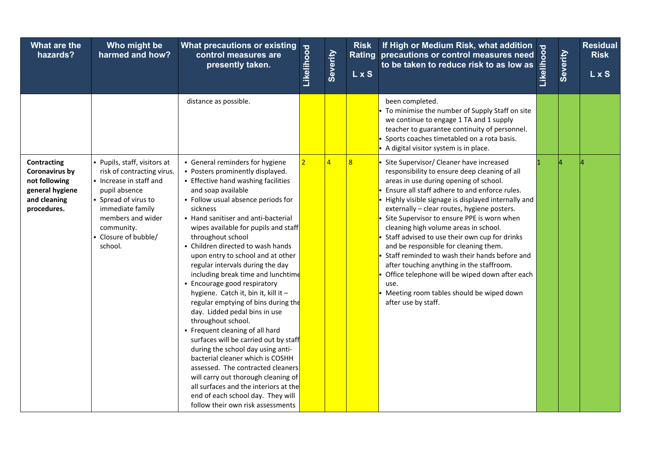| What are the<br>hazards?                                                                         | Who might be<br>harmed and how?                                                                                                                                                                                          | <b>What precautions or existing</b><br>control measures are<br>presently taken.                                                                                                                                                                                                                                                                                                                                                                                                                                                                                                                                                                                                                                                                                                                                                                                                                                                                                           | Likelihood     | Severity       | <b>Risk</b><br><b>LxS</b> | If High or Medium Risk, what addition<br>Rating precautions or control measures need<br>to be taken to reduce risk to as low as                                                                                                                                                                                                                                                                                                                                                                                                                                                                                                                                                                      | Likelihood | Severity | <b>Residual</b><br><b>Risk</b><br>L x S |
|--------------------------------------------------------------------------------------------------|--------------------------------------------------------------------------------------------------------------------------------------------------------------------------------------------------------------------------|---------------------------------------------------------------------------------------------------------------------------------------------------------------------------------------------------------------------------------------------------------------------------------------------------------------------------------------------------------------------------------------------------------------------------------------------------------------------------------------------------------------------------------------------------------------------------------------------------------------------------------------------------------------------------------------------------------------------------------------------------------------------------------------------------------------------------------------------------------------------------------------------------------------------------------------------------------------------------|----------------|----------------|---------------------------|------------------------------------------------------------------------------------------------------------------------------------------------------------------------------------------------------------------------------------------------------------------------------------------------------------------------------------------------------------------------------------------------------------------------------------------------------------------------------------------------------------------------------------------------------------------------------------------------------------------------------------------------------------------------------------------------------|------------|----------|-----------------------------------------|
|                                                                                                  |                                                                                                                                                                                                                          | distance as possible.                                                                                                                                                                                                                                                                                                                                                                                                                                                                                                                                                                                                                                                                                                                                                                                                                                                                                                                                                     |                |                |                           | been completed.<br>To minimise the number of Supply Staff on site<br>we continue to engage 1 TA and 1 supply<br>teacher to guarantee continuity of personnel.<br>Sports coaches timetabled on a rota basis.<br>- A digital visitor system is in place.                                                                                                                                                                                                                                                                                                                                                                                                                                               |            |          |                                         |
| Contracting<br>Coronavirus by<br>not following<br>general hygiene<br>and cleaning<br>procedures. | • Pupils, staff, visitors at<br>risk of contracting virus.<br>- Increase in staff and<br>pupil absence<br>• Spread of virus to<br>immediate family<br>members and wider<br>community.<br>- Closure of bubble/<br>school. | • General reminders for hygiene<br>• Posters prominently displayed.<br><b>Effective hand washing facilities</b><br>and soap available<br>• Follow usual absence periods for<br>sickness<br>• Hand sanitiser and anti-bacterial<br>wipes available for pupils and staff<br>throughout school<br>- Children directed to wash hands<br>upon entry to school and at other<br>regular intervals during the day<br>including break time and lunchtime<br>- Encourage good respiratory<br>hygiene. Catch it, bin it, kill it -<br>regular emptying of bins during the<br>day. Lidded pedal bins in use<br>throughout school.<br>• Frequent cleaning of all hard<br>surfaces will be carried out by staff<br>during the school day using anti-<br>bacterial cleaner which is COSHH<br>assessed. The contracted cleaners<br>will carry out thorough cleaning of<br>all surfaces and the interiors at the<br>end of each school day. They will<br>follow their own risk assessments | $\overline{2}$ | $\overline{4}$ | $\overline{8}$            | Site Supervisor/ Cleaner have increased<br>responsibility to ensure deep cleaning of all<br>areas in use during opening of school.<br>Ensure all staff adhere to and enforce rules.<br>Highly visible signage is displayed internally and<br>externally - clear routes, hygiene posters.<br>Site Supervisor to ensure PPE is worn when<br>cleaning high volume areas in school.<br>Staff advised to use their own cup for drinks<br>and be responsible for cleaning them.<br>Staff reminded to wash their hands before and<br>after touching anything in the staffroom.<br>Office telephone will be wiped down after each<br>use.<br>Meeting room tables should be wiped down<br>after use by staff. |            |          |                                         |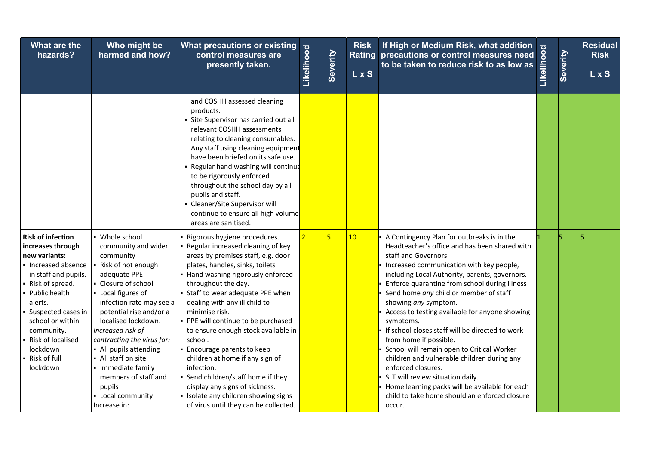| What are the<br>hazards?                                                                                                                                                                                                                                                            | Who might be<br>harmed and how?                                                                                                                                                                                                                                                                                                                                                                                      | What precautions or existing<br>control measures are<br>presently taken.                                                                                                                                                                                                                                                                                                                                                                                                                                                                                                                                                    | Likelihood     | Severity       | <b>Risk</b><br><b>LxS</b> | If High or Medium Risk, what addition<br>Rating precautions or control measures need<br>to be taken to reduce risk to as low as                                                                                                                                                                                                                                                                                                                                                                                                                                                                                                                                                                                                                      | Likelihood | Severity | <b>Residual</b><br><b>Risk</b><br><b>LxS</b> |
|-------------------------------------------------------------------------------------------------------------------------------------------------------------------------------------------------------------------------------------------------------------------------------------|----------------------------------------------------------------------------------------------------------------------------------------------------------------------------------------------------------------------------------------------------------------------------------------------------------------------------------------------------------------------------------------------------------------------|-----------------------------------------------------------------------------------------------------------------------------------------------------------------------------------------------------------------------------------------------------------------------------------------------------------------------------------------------------------------------------------------------------------------------------------------------------------------------------------------------------------------------------------------------------------------------------------------------------------------------------|----------------|----------------|---------------------------|------------------------------------------------------------------------------------------------------------------------------------------------------------------------------------------------------------------------------------------------------------------------------------------------------------------------------------------------------------------------------------------------------------------------------------------------------------------------------------------------------------------------------------------------------------------------------------------------------------------------------------------------------------------------------------------------------------------------------------------------------|------------|----------|----------------------------------------------|
|                                                                                                                                                                                                                                                                                     |                                                                                                                                                                                                                                                                                                                                                                                                                      | and COSHH assessed cleaning<br>products.<br>• Site Supervisor has carried out all<br>relevant COSHH assessments<br>relating to cleaning consumables.<br>Any staff using cleaning equipment<br>have been briefed on its safe use.<br>• Regular hand washing will continue<br>to be rigorously enforced<br>throughout the school day by all<br>pupils and staff.<br>- Cleaner/Site Supervisor will<br>continue to ensure all high volume<br>areas are sanitised.                                                                                                                                                              |                |                |                           |                                                                                                                                                                                                                                                                                                                                                                                                                                                                                                                                                                                                                                                                                                                                                      |            |          |                                              |
| <b>Risk of infection</b><br>increases through<br>new variants:<br>- Increased absence<br>in staff and pupils.<br>- Risk of spread.<br>Public health<br>alerts.<br>Suspected cases in<br>school or within<br>community.<br>Risk of localised<br>lockdown<br>Risk of full<br>lockdown | • Whole school<br>community and wider<br>community<br>Risk of not enough<br>adequate PPE<br>• Closure of school<br>- Local figures of<br>infection rate may see a<br>potential rise and/or a<br>localised lockdown.<br>Increased risk of<br>contracting the virus for:<br>• All pupils attending<br>- All staff on site<br>· Immediate family<br>members of staff and<br>pupils<br>• Local community<br>Increase in: | Rigorous hygiene procedures.<br>Regular increased cleaning of key<br>areas by premises staff, e.g. door<br>plates, handles, sinks, toilets<br>Hand washing rigorously enforced<br>throughout the day.<br>- Staff to wear adequate PPE when<br>dealing with any ill child to<br>minimise risk.<br>• PPE will continue to be purchased<br>to ensure enough stock available in<br>school.<br>Encourage parents to keep<br>children at home if any sign of<br>infection.<br>• Send children/staff home if they<br>display any signs of sickness.<br>Isolate any children showing signs<br>of virus until they can be collected. | $\overline{2}$ | $\overline{5}$ | 10                        | A Contingency Plan for outbreaks is in the<br>Headteacher's office and has been shared with<br>staff and Governors.<br>Increased communication with key people,<br>including Local Authority, parents, governors.<br>Enforce quarantine from school during illness<br>Send home any child or member of staff<br>showing any symptom.<br>Access to testing available for anyone showing<br>symptoms.<br>If school closes staff will be directed to work<br>from home if possible.<br>School will remain open to Critical Worker<br>children and vulnerable children during any<br>enforced closures.<br>SLT will review situation daily.<br>Home learning packs will be available for each<br>child to take home should an enforced closure<br>occur. |            |          |                                              |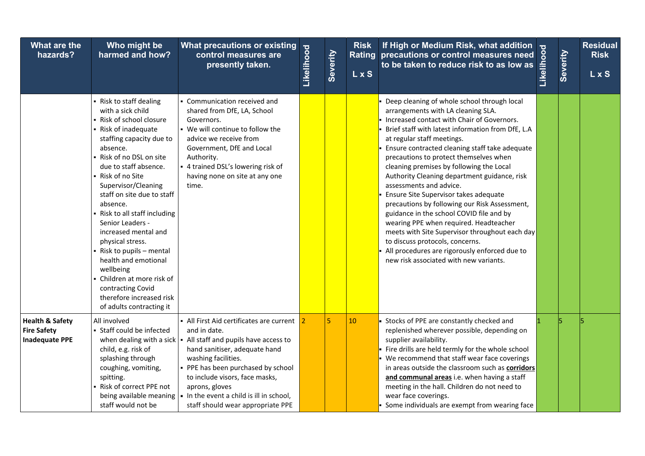| What are the<br>hazards?                                                  | Who might be<br>harmed and how?                                                                                                                                                                                                                                                                                                                                                                                                                                                                                                                           | What precautions or existing<br>control measures are<br>presently taken.                                                                                                                                                                                                                                                                                                                                                      | Likelihood | Severity       | <b>Risk</b><br><b>LxS</b> | If High or Medium Risk, what addition<br>Rating precautions or control measures need<br>to be taken to reduce risk to as low as                                                                                                                                                                                                                                                                                                                                                                                                                                                                                                                                                                                                                                                                       | Likelihood | Severity | <b>Residual</b><br><b>Risk</b><br>L x S |
|---------------------------------------------------------------------------|-----------------------------------------------------------------------------------------------------------------------------------------------------------------------------------------------------------------------------------------------------------------------------------------------------------------------------------------------------------------------------------------------------------------------------------------------------------------------------------------------------------------------------------------------------------|-------------------------------------------------------------------------------------------------------------------------------------------------------------------------------------------------------------------------------------------------------------------------------------------------------------------------------------------------------------------------------------------------------------------------------|------------|----------------|---------------------------|-------------------------------------------------------------------------------------------------------------------------------------------------------------------------------------------------------------------------------------------------------------------------------------------------------------------------------------------------------------------------------------------------------------------------------------------------------------------------------------------------------------------------------------------------------------------------------------------------------------------------------------------------------------------------------------------------------------------------------------------------------------------------------------------------------|------------|----------|-----------------------------------------|
|                                                                           | - Risk to staff dealing<br>with a sick child<br>- Risk of school closure<br>- Risk of inadequate<br>staffing capacity due to<br>absence.<br>Risk of no DSL on site<br>due to staff absence.<br>- Risk of no Site<br>Supervisor/Cleaning<br>staff on site due to staff<br>absence.<br>Risk to all staff including<br>Senior Leaders -<br>increased mental and<br>physical stress.<br>Risk to pupils - mental<br>health and emotional<br>wellbeing<br>Children at more risk of<br>contracting Covid<br>therefore increased risk<br>of adults contracting it | • Communication received and<br>shared from DfE, LA, School<br>Governors.<br>. We will continue to follow the<br>advice we receive from<br>Government, DfE and Local<br>Authority.<br>- 4 trained DSL's lowering risk of<br>having none on site at any one<br>time.                                                                                                                                                           |            |                |                           | Deep cleaning of whole school through local<br>arrangements with LA cleaning SLA.<br>Increased contact with Chair of Governors.<br>Brief staff with latest information from DfE, L.A<br>at regular staff meetings.<br>Ensure contracted cleaning staff take adequate<br>precautions to protect themselves when<br>cleaning premises by following the Local<br>Authority Cleaning department guidance, risk<br>assessments and advice.<br>Ensure Site Supervisor takes adequate<br>precautions by following our Risk Assessment,<br>guidance in the school COVID file and by<br>wearing PPE when required. Headteacher<br>meets with Site Supervisor throughout each day<br>to discuss protocols, concerns.<br>All procedures are rigorously enforced due to<br>new risk associated with new variants. |            |          |                                         |
| <b>Health &amp; Safety</b><br><b>Fire Safety</b><br><b>Inadequate PPE</b> | All involved<br>• Staff could be infected<br>child, e.g. risk of<br>splashing through<br>coughing, vomiting,<br>spitting.<br>Risk of correct PPE not<br>staff would not be                                                                                                                                                                                                                                                                                                                                                                                | • All First Aid certificates are current 2<br>and in date.<br>when dealing with a sick $\vert \cdot \vert$ All staff and pupils have access to<br>hand sanitiser, adequate hand<br>washing facilities.<br>• PPE has been purchased by school<br>to include visors, face masks,<br>aprons, gloves<br>being available meaning $\vert \bullet \vert$ In the event a child is ill in school,<br>staff should wear appropriate PPE |            | $\overline{5}$ | 10                        | Stocks of PPE are constantly checked and<br>replenished wherever possible, depending on<br>supplier availability.<br>Fire drills are held termly for the whole school<br>• We recommend that staff wear face coverings<br>in areas outside the classroom such as corridors<br>and communal areas i.e. when having a staff<br>meeting in the hall. Children do not need to<br>wear face coverings.<br>Some individuals are exempt from wearing face                                                                                                                                                                                                                                                                                                                                                    |            |          |                                         |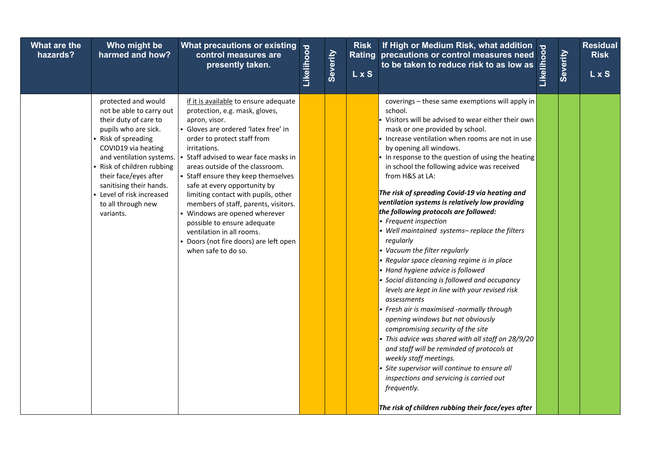| What are the<br>hazards? | Who might be<br>harmed and how?                                                                                                                                                                                                                                                                                              | What precautions or existing<br>control measures are<br>presently taken.                                                                                                                                                                                                                                                                                                                                                                                                                                                                                                      | Likelihood | Severity | <b>Risk</b><br><b>LxS</b> | If High or Medium Risk, what addition<br>precautions or control measures need $\frac{8}{9}$<br>to be taken to reduce risk to as low as $\frac{2}{9}$<br>Rating precautions or control measures need                                                                                                                                                                                                                                                                                                                                                                                                                                                                                                                                                                                                                                                                                                                                                                                                                                                                                                                                                                                                                                     | Severity | <b>Residual</b><br><b>Risk</b><br>L x S |
|--------------------------|------------------------------------------------------------------------------------------------------------------------------------------------------------------------------------------------------------------------------------------------------------------------------------------------------------------------------|-------------------------------------------------------------------------------------------------------------------------------------------------------------------------------------------------------------------------------------------------------------------------------------------------------------------------------------------------------------------------------------------------------------------------------------------------------------------------------------------------------------------------------------------------------------------------------|------------|----------|---------------------------|-----------------------------------------------------------------------------------------------------------------------------------------------------------------------------------------------------------------------------------------------------------------------------------------------------------------------------------------------------------------------------------------------------------------------------------------------------------------------------------------------------------------------------------------------------------------------------------------------------------------------------------------------------------------------------------------------------------------------------------------------------------------------------------------------------------------------------------------------------------------------------------------------------------------------------------------------------------------------------------------------------------------------------------------------------------------------------------------------------------------------------------------------------------------------------------------------------------------------------------------|----------|-----------------------------------------|
|                          | protected and would<br>not be able to carry out<br>their duty of care to<br>pupils who are sick.<br>- Risk of spreading<br>COVID19 via heating<br>and ventilation systems.<br>- Risk of children rubbing<br>their face/eyes after<br>sanitising their hands.<br>- Level of risk increased<br>to all through new<br>variants. | if it is available to ensure adequate<br>protection, e.g. mask, gloves,<br>apron, visor.<br>• Gloves are ordered 'latex free' in<br>order to protect staff from<br>irritations.<br>Staff advised to wear face masks in<br>areas outside of the classroom.<br>• Staff ensure they keep themselves<br>safe at every opportunity by<br>limiting contact with pupils, other<br>members of staff, parents, visitors.<br>• Windows are opened wherever<br>possible to ensure adequate<br>ventilation in all rooms.<br>- Doors (not fire doors) are left open<br>when safe to do so. |            |          |                           | coverings - these same exemptions will apply in<br>school.<br>Visitors will be advised to wear either their own<br>mask or one provided by school.<br>Increase ventilation when rooms are not in use<br>by opening all windows.<br>In response to the question of using the heating<br>in school the following advice was received<br>from H&S at LA:<br>The risk of spreading Covid-19 via heating and<br>ventilation systems is relatively low providing<br>the following protocols are followed:<br>Frequent inspection<br>Well maintained systems-replace the filters<br>regularly<br>Vacuum the filter regularly<br>Regular space cleaning regime is in place<br>Hand hygiene advice is followed<br>Social distancing is followed and occupancy<br>levels are kept in line with your revised risk<br>assessments<br>Fresh air is maximised -normally through<br>opening windows but not obviously<br>compromising security of the site<br>This advice was shared with all staff on 28/9/20<br>and staff will be reminded of protocols at<br>weekly staff meetings.<br>Site supervisor will continue to ensure all<br>inspections and servicing is carried out<br>frequently.<br>The risk of children rubbing their face/eyes after |          |                                         |